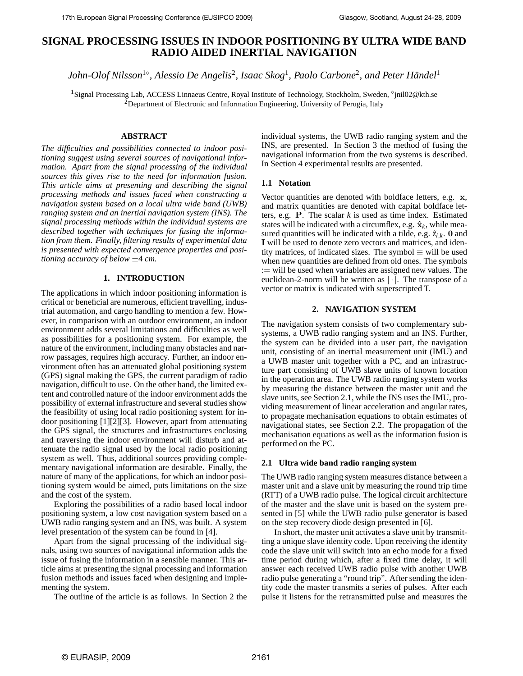# **SIGNAL PROCESSING ISSUES IN INDOOR POSITIONING BY ULTRA WIDE BAND RADIO AIDED INERTIAL NAVIGATION**

 $John$ -Olof Nilsson $^{1\diamond}$ , Alessio De Angelis<sup>2</sup>, Isaac Skog<sup>1</sup>, Paolo Carbone<sup>2</sup>, and Peter Händel<sup>1</sup>

<sup>1</sup>Signal Processing Lab, ACCESS Linnaeus Centre, Royal Institute of Technology, Stockholm, Sweden, °jnil02@kth.se <sup>2</sup>Department of Electronic and Information Engineering, University of Perugia, Italy

## **ABSTRACT**

*The difficulties and possibilities connected to indoor positioning suggest using several sources of navigational information. Apart from the signal processing of the individual sources this gives rise to the need for information fusion. This article aims at presenting and describing the signal processing methods and issues faced when constructing a navigation system based on a local ultra wide band (UWB) ranging system and an inertial navigation system (INS). The signal processing methods within the individual systems are described together with techniques for fusing the information from them. Finally, filtering results of experimental data is presented with expected convergence properties and positioning accuracy of below* ±4 *cm.*

## **1. INTRODUCTION**

The applications in which indoor positioning information is critical or beneficial are numerous, efficient travelling, industrial automation, and cargo handling to mention a few. However, in comparison with an outdoor environment, an indoor environment adds several limitations and difficulties as well as possibilities for a positioning system. For example, the nature of the environment, including many obstacles and narrow passages, requires high accuracy. Further, an indoor environment often has an attenuated global positioning system (GPS) signal making the GPS, the current paradigm of radio navigation, difficult to use. On the other hand, the limited extent and controlled nature of the indoor environment adds the possibility of external infrastructure and several studies show the feasibility of using local radio positioning system for indoor positioning [1][2][3]. However, apart from attenuating the GPS signal, the structures and infrastructures enclosing and traversing the indoor environment will disturb and attenuate the radio signal used by the local radio positioning system as well. Thus, additional sources providing complementary navigational information are desirable. Finally, the nature of many of the applications, for which an indoor positioning system would be aimed, puts limitations on the size and the cost of the system.

Exploring the possibilities of a radio based local indoor positioning system, a low cost navigation system based on a UWB radio ranging system and an INS, was built. A system level presentation of the system can be found in [4].

Apart from the signal processing of the individual signals, using two sources of navigational information adds the issue of fusing the information in a sensible manner. This article aims at presenting the signal processing and information fusion methods and issues faced when designing and implementing the system.

The outline of the article is as follows. In Section 2 the

individual systems, the UWB radio ranging system and the INS, are presented. In Section 3 the method of fusing the navigational information from the two systems is described. In Section 4 experimental results are presented.

## **1.1 Notation**

Vector quantities are denoted with boldface letters, e.g. x, and matrix quantities are denoted with capital boldface letters, e.g. P. The scalar *k* is used as time index. Estimated states will be indicated with a circumflex, e.g. ˆx*<sup>k</sup>* , while measured quantities will be indicated with a tilde, e.g.  $\tilde{z}_{l,k}$ . 0 and I will be used to denote zero vectors and matrices, and identity matrices, of indicated sizes. The symbol  $\equiv$  will be used when new quantities are defined from old ones. The symbols := will be used when variables are assigned new values. The euclidean-2-norm will be written as  $|\cdot|$ . The transpose of a vector or matrix is indicated with superscripted T.

## **2. NAVIGATION SYSTEM**

The navigation system consists of two complementary subsystems, a UWB radio ranging system and an INS. Further, the system can be divided into a user part, the navigation unit, consisting of an inertial measurement unit (IMU) and a UWB master unit together with a PC, and an infrastructure part consisting of UWB slave units of known location in the operation area. The UWB radio ranging system works by measuring the distance between the master unit and the slave units, see Section 2.1, while the INS uses the IMU, providing measurement of linear acceleration and angular rates, to propagate mechanisation equations to obtain estimates of navigational states, see Section 2.2. The propagation of the mechanisation equations as well as the information fusion is performed on the PC.

## **2.1 Ultra wide band radio ranging system**

The UWB radio ranging system measures distance between a master unit and a slave unit by measuring the round trip time (RTT) of a UWB radio pulse. The logical circuit architecture of the master and the slave unit is based on the system presented in [5] while the UWB radio pulse generator is based on the step recovery diode design presented in [6].

In short, the master unit activates a slave unit by transmitting a unique slave identity code. Upon receiving the identity code the slave unit will switch into an echo mode for a fixed time period during which, after a fixed time delay, it will answer each received UWB radio pulse with another UWB radio pulse generating a "round trip". After sending the identity code the master transmits a series of pulses. After each pulse it listens for the retransmitted pulse and measures the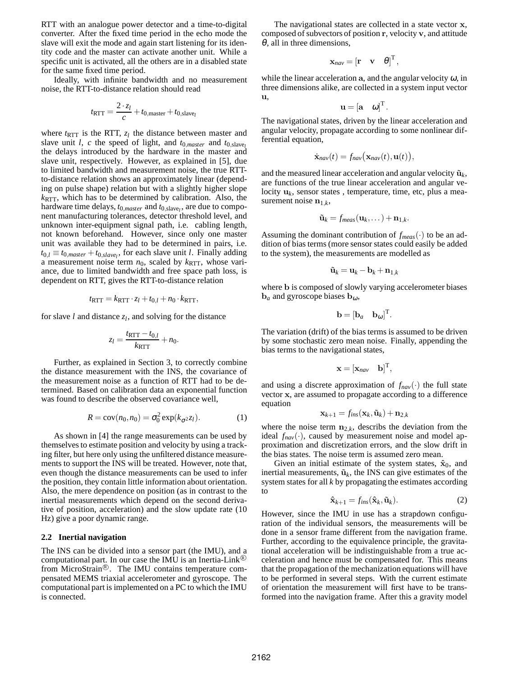RTT with an analogue power detector and a time-to-digital converter. After the fixed time period in the echo mode the slave will exit the mode and again start listening for its identity code and the master can activate another unit. While a specific unit is activated, all the others are in a disabled state for the same fixed time period.

Ideally, with infinite bandwidth and no measurement noise, the RTT-to-distance relation should read

$$
t_{\text{RTT}} = \frac{2 \cdot z_l}{c} + t_{0,\text{master}} + t_{0,\text{slave}_l}
$$

where  $t_{\text{RTT}}$  is the RTT,  $z_l$  the distance between master and slave unit *l*, *c* the speed of light, and  $t_{0,master}$  and  $t_{0, slave}$ the delays introduced by the hardware in the master and slave unit, respectively. However, as explained in [5], due to limited bandwidth and measurement noise, the true RTTto-distance relation shows an approximately linear (depending on pulse shape) relation but with a slightly higher slope  $k_{\text{RTT}}$ , which has to be determined by calibration. Also, the hardware time delays,  $t_{0,maxter}$  and  $t_{0,\text{slave}}$ , are due to component manufacturing tolerances, detector threshold level, and unknown inter-equipment signal path, i.e. cabling length, not known beforehand. However, since only one master unit was available they had to be determined in pairs, i.e.  $t_{0,l} \equiv t_{0,max} + t_{0,slave_l}$ , for each slave unit *l*. Finally adding a measurement noise term  $n_0$ , scaled by  $k_{\text{RTT}}$ , whose variance, due to limited bandwidth and free space path loss, is dependent on RTT, gives the RTT-to-distance relation

$$
t_{\text{RTT}} = k_{\text{RTT}} \cdot z_l + t_{0,l} + n_0 \cdot k_{\text{RTT}},
$$

for slave  $l$  and distance  $z_l$ , and solving for the distance

$$
z_l = \frac{t_{\text{RTT}} - t_{0,l}}{k_{\text{RTT}}} + n_0.
$$

Further, as explained in Section 3, to correctly combine the distance measurement with the INS, the covariance of the measurement noise as a function of RTT had to be determined. Based on calibration data an exponential function was found to describe the observed covariance well,

$$
R = \text{cov}(n_0, n_0) = \sigma_0^2 \exp(k_{\sigma^2} z_l). \tag{1}
$$

As shown in [4] the range measurements can be used by themselves to estimate position and velocity by using a tracking filter, but here only using the unfiltered distance measurements to support the INS will be treated. However, note that, even though the distance measurements can be used to infer the position, they contain little information about orientation. Also, the mere dependence on position (as in contrast to the inertial measurements which depend on the second derivative of position, acceleration) and the slow update rate (10 Hz) give a poor dynamic range.

#### **2.2 Inertial navigation**

The INS can be divided into a sensor part (the IMU), and a computational part. In our case the IMU is an Inertia-Link<sup>( $\&$ )</sup> from MicroStrain®. The IMU contains temperature compensated MEMS triaxial accelerometer and gyroscope. The computational part is implemented on a PC to which the IMU is connected.

The navigational states are collected in a state vector x, composed of subvectors of position r, velocity v, and attitude  $\theta$ , all in three dimensions,

$$
\mathbf{x}_{\text{nav}} = \left[\mathbf{r} \quad \mathbf{v} \quad \boldsymbol{\theta}\right]^T,
$$

while the linear acceleration a, and the angular velocity  $\omega$ , in three dimensions alike, are collected in a system input vector u,

$$
\mathbf{u} = \begin{bmatrix} \mathbf{a} & \boldsymbol{\omega} \end{bmatrix}^T.
$$

The navigational states, driven by the linear acceleration and angular velocity, propagate according to some nonlinear differential equation,

$$
\dot{\mathbf{x}}_{nav}(t) = f_{nav}(\mathbf{x}_{nav}(t), \mathbf{u}(t)),
$$

and the measured linear acceleration and angular velocity  $\tilde{\mathbf{u}}_k$ , are functions of the true linear acceleration and angular velocity u*<sup>k</sup>* , sensor states , temperature, time, etc, plus a measurement noise  $\mathbf{n}_{1,k}$ ,

$$
\tilde{\mathbf{u}}_k = f_{meas}(\mathbf{u}_k,\dots) + \mathbf{n}_{1,k}.
$$

Assuming the dominant contribution of *fmeas*(·) to be an addition of bias terms (more sensor states could easily be added to the system), the measurements are modelled as

$$
\tilde{\mathbf{u}}_k = \mathbf{u}_k - \mathbf{b}_k + \mathbf{n}_{1,k}
$$

where b is composed of slowly varying accelerometer biases  **and gyroscope biases**  $**b**<sub>ω</sub>$ **,** 

$$
\mathbf{b} = [\mathbf{b}_a \quad \mathbf{b}_\omega]^\mathrm{T}.
$$

The variation (drift) of the bias terms is assumed to be driven by some stochastic zero mean noise. Finally, appending the bias terms to the navigational states,

$$
\mathbf{x} = [\mathbf{x}_{nav} \quad \mathbf{b}]^{\mathrm{T}},
$$

and using a discrete approximation of  $f_{nav}(\cdot)$  the full state vector x, are assumed to propagate according to a difference equation

$$
\mathbf{x}_{k+1} = f_{ins}(\mathbf{x}_k, \tilde{\mathbf{u}}_k) + \mathbf{n}_{2,k}
$$

where the noise term  $n_{2,k}$ , describs the deviation from the ideal of  $\ell_{k}$ ideal  $f_{nav}(\cdot)$ , caused by measurement noise and model approximation and discretization errors, and the slow drift in the bias states. The noise term is assumed zero mean.

Given an initial estimate of the system states,  $\hat{\mathbf{x}}_0$ , and inertial measurements,  $\tilde{\mathbf{u}}_k$ , the INS can give estimates of the system states for all *k* by propagating the estimates according to

$$
\hat{\mathbf{x}}_{k+1} = f_{ins}(\hat{\mathbf{x}}_k, \tilde{\mathbf{u}}_k). \tag{2}
$$

However, since the IMU in use has a strapdown configuration of the individual sensors, the measurements will be done in a sensor frame different from the navigation frame. Further, according to the equivalence principle, the gravitational acceleration will be indistinguishable from a true acceleration and hence must be compensated for. This means that the propagation of the mechanization equations will have to be performed in several steps. With the current estimate of orientation the measurement will first have to be transformed into the navigation frame. After this a gravity model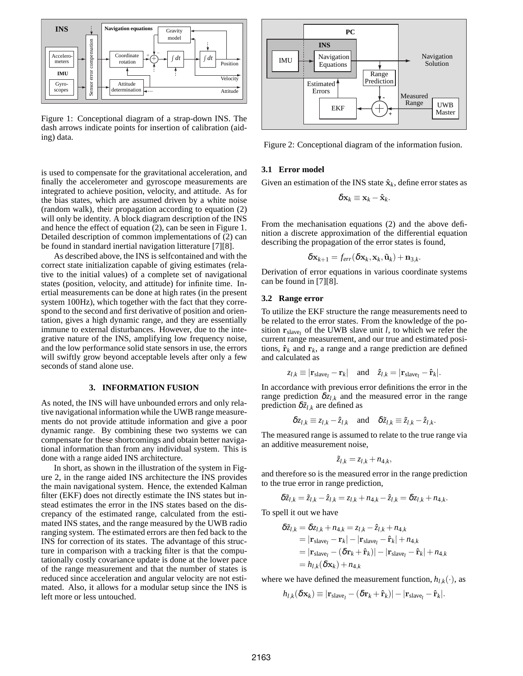

Figure 1: Conceptional diagram of a strap-down INS. The dash arrows indicate points for insertion of calibration (aiding) data.

is used to compensate for the gravitational acceleration, and finally the accelerometer and gyroscope measurements are integrated to achieve position, velocity, and attitude. As for the bias states, which are assumed driven by a white noise (random walk), their propagation according to equation (2) will only be identity. A block diagram description of the INS and hence the effect of equation (2), can be seen in Figure 1. Detailed description of common implementations of (2) can be found in standard inertial navigation litterature [7][8].

As described above, the INS is selfcontained and with the correct state initialization capable of giving estimates (relative to the initial values) of a complete set of navigational states (position, velocity, and attitude) for infinite time. Inertial measurements can be done at high rates (in the present system 100Hz), which together with the fact that they correspond to the second and first derivative of position and orientation, gives a high dynamic range, and they are essentially immune to external disturbances. However, due to the integrative nature of the INS, amplifying low frequency noise, and the low performance solid state sensors in use, the errors will swiftly grow beyond acceptable levels after only a few seconds of stand alone use.

#### **3. INFORMATION FUSION**

As noted, the INS will have unbounded errors and only relative navigational information while the UWB range measurements do not provide attitude information and give a poor dynamic range. By combining these two systems we can compensate for these shortcomings and obtain better navigational information than from any individual system. This is done with a range aided INS architecture.

In short, as shown in the illustration of the system in Figure 2, in the range aided INS architecture the INS provides the main navigational system. Hence, the extended Kalman filter (EKF) does not directly estimate the INS states but instead estimates the error in the INS states based on the discrepancy of the estimated range, calculated from the estimated INS states, and the range measured by the UWB radio ranging system. The estimated errors are then fed back to the INS for correction of its states. The advantage of this structure in comparison with a tracking filter is that the computationally costly covariance update is done at the lower pace of the range measurement and that the number of states is reduced since acceleration and angular velocity are not estimated. Also, it allows for a modular setup since the INS is left more or less untouched.



Figure 2: Conceptional diagram of the information fusion.

#### **3.1 Error model**

Given an estimation of the INS state  $\hat{\mathbf{x}}_k$ , define error states as

$$
\delta \mathbf{x}_k \equiv \mathbf{x}_k - \hat{\mathbf{x}}_k.
$$

From the mechanisation equations (2) and the above definition a discrete approximation of the differential equation describing the propagation of the error states is found,

$$
\delta \mathbf{x}_{k+1} = f_{err}(\delta \mathbf{x}_k, \mathbf{x}_k, \tilde{\mathbf{u}}_k) + \mathbf{n}_{3,k}.
$$

Derivation of error equations in various coordinate systems can be found in [7][8].

## **3.2 Range error**

To utilize the EKF structure the range measurements need to be related to the error states. From the knowledge of the position  $\mathbf{r}_{\text{slave}_l}$  of the UWB slave unit *l*, to which we refer the current range measurement, and our true and estimated positions,  $\hat{\mathbf{r}}_k$  and  $\mathbf{r}_k$ , a range and a range prediction are defined and calculated as

$$
z_{l,k} \equiv |\mathbf{r}_{\text{slave}_l} - \mathbf{r}_k| \quad \text{and} \quad \hat{z}_{l,k} = |\mathbf{r}_{\text{slave}_l} - \hat{\mathbf{r}}_k|.
$$

In accordance with previous error definitions the error in the range prediction  $\delta z_{l,k}$  and the measured error in the range prediction  $\delta \tilde{z}_{l,k}$  are defined as

$$
\delta z_{l,k} \equiv z_{l,k} - \hat{z}_{l,k} \quad \text{and} \quad \delta \tilde{z}_{l,k} \equiv \tilde{z}_{l,k} - \hat{z}_{l,k}.
$$

The measured range is assumed to relate to the true range via an additive measurement noise,

$$
\tilde{z}_{l,k}=z_{l,k}+n_{4,k},
$$

and therefore so is the measured error in the range prediction to the true error in range prediction,

$$
\delta \tilde{z}_{l,k} = \tilde{z}_{l,k} - \hat{z}_{l,k} = z_{l,k} + n_{4,k} - \hat{z}_{l,k} = \delta z_{l,k} + n_{4,k}.
$$

To spell it out we have

$$
\delta \tilde{z}_{l,k} = \delta z_{l,k} + n_{4,k} = z_{l,k} - \hat{z}_{l,k} + n_{4,k}
$$
  
=  $|\mathbf{r}_{\text{slave}_l} - \mathbf{r}_k| - |\mathbf{r}_{\text{slave}_l} - \hat{\mathbf{r}}_k| + n_{4,k}$   
=  $|\mathbf{r}_{\text{slave}_l} - (\delta \mathbf{r}_k + \hat{\mathbf{r}}_k)| - |\mathbf{r}_{\text{slave}_l} - \hat{\mathbf{r}}_k| + n_{4,k}$   
=  $h_{l,k}(\delta \mathbf{x}_k) + n_{4,k}$ 

where we have defined the measurement function,  $h_{l,k}(\cdot)$ , as

$$
h_{l,k}(\delta \mathbf{x}_k) \equiv |\mathbf{r}_{\text{slave}_l} - (\delta \mathbf{r}_k + \hat{\mathbf{r}}_k)| - |\mathbf{r}_{\text{slave}_l} - \hat{\mathbf{r}}_k|.
$$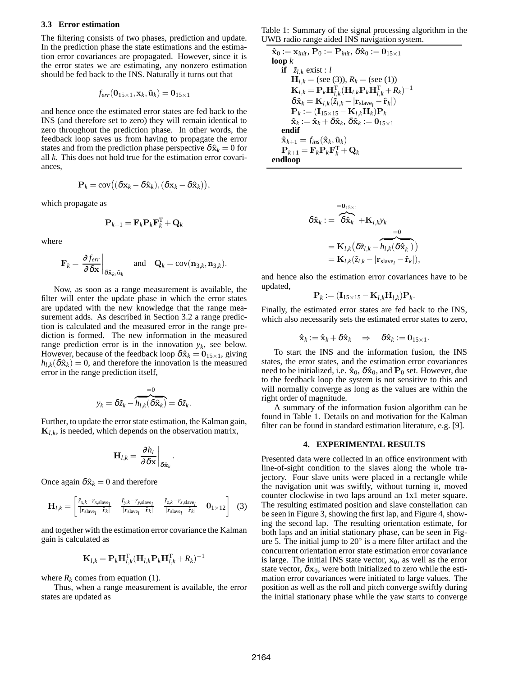#### **3.3 Error estimation**

The filtering consists of two phases, prediction and update. In the prediction phase the state estimations and the estimation error covariances are propagated. However, since it is the error states we are estimating, any nonzero estimation should be fed back to the INS. Naturally it turns out that

$$
f_{err}(\mathbf{0}_{15\times 1}, \mathbf{x}_k, \tilde{\mathbf{u}}_k) = \mathbf{0}_{15\times 1}
$$

and hence once the estimated error states are fed back to the INS (and therefore set to zero) they will remain identical to zero throughout the prediction phase. In other words, the feedback loop saves us from having to propagate the error states and from the prediction phase perspective  $\delta \hat{\mathbf{x}}_k = 0$  for all *k*. This does not hold true for the estimation error covariances,

$$
\mathbf{P}_k = \mathrm{cov}((\delta \mathbf{x}_k - \delta \hat{\mathbf{x}}_k), (\delta \mathbf{x}_k - \delta \hat{\mathbf{x}}_k)),
$$

which propagate as

$$
\mathbf{P}_{k+1} = \mathbf{F}_k \mathbf{P}_k \mathbf{F}_k^{\mathrm{T}} + \mathbf{Q}_k
$$

where

$$
\mathbf{F}_k = \left. \frac{\partial f_{err}}{\partial \delta \mathbf{x}} \right|_{\delta \hat{\mathbf{x}}_k, \tilde{\mathbf{u}}_k} \quad \text{and} \quad \mathbf{Q}_k = \text{cov}(\mathbf{n}_{3,k}, \mathbf{n}_{3,k}).
$$

Now, as soon as a range measurement is available, the filter will enter the update phase in which the error states are updated with the new knowledge that the range measurement adds. As described in Section 3.2 a range prediction is calculated and the measured error in the range prediction is formed. The new information in the measured range prediction error is in the innovation  $y_k$ , see below. However, because of the feedback loop  $\delta \hat{x}_k = 0_{15 \times 1}$ , giving  $h_{l,k}(\delta \hat{\mathbf{x}}_k) = 0$ , and therefore the innovation is the measured error in the range prediction itself,

$$
y_k = \delta \tilde{z}_k - \overbrace{h_{l,k}(\delta \hat{\mathbf{x}}_k)}^{=0} = \delta \tilde{z}_k.
$$

Further, to update the error state estimation, the Kalman gain,  $\mathbf{K}_{l,k}$ , is needed, which depends on the observation matrix,

$$
\mathbf{H}_{l,k} = \left. \frac{\partial h_l}{\partial \delta \mathbf{x}} \right|_{\delta \hat{\mathbf{x}}_k}
$$

.

Once again  $\delta \hat{\mathbf{x}}_k = 0$  and therefore

$$
\mathbf{H}_{l,k} = \begin{bmatrix} \frac{\hat{r}_{x,k} - r_{x,\text{slave}}}{|\mathbf{r}_{\text{slave}_l} - \hat{\mathbf{r}}_k|} & \frac{\hat{r}_{y,k} - r_{y,\text{slave}_l}}{|\mathbf{r}_{\text{slave}_l} - \hat{\mathbf{r}}_k|} & \frac{\hat{r}_{z,k} - r_{z,\text{slave}_l}}{|\mathbf{r}_{\text{slave}_l} - \hat{\mathbf{r}}_k|} & \mathbf{0}_{1 \times 12} \end{bmatrix} \tag{3}
$$

and together with the estimation error covariance the Kalman gain is calculated as

$$
\mathbf{K}_{l,k} = \mathbf{P}_k \mathbf{H}_{l,k}^{\mathrm{T}} (\mathbf{H}_{l,k} \mathbf{P}_k \mathbf{H}_{l,k}^{\mathrm{T}} + R_k)^{-1}
$$

where  $R_k$  comes from equation (1).

Thus, when a range measurement is available, the error states are updated as

Table 1: Summary of the signal processing algorithm in the UWB radio range aided INS navigation system.

 $\mathbf{\hat{x}}_0 := \mathbf{x}_{init}, \mathbf{P}_0 := \mathbf{P}_{init}, \delta \mathbf{\hat{x}}_0 := \mathbf{0}_{15 \times 1}$ **loop** *k* **if**  $\tilde{z}_{l,k}$  exist : *l*  $H_{l,k}$  = (see (3)),  $R_k$  = (see (1))  $\mathbf{K}_{l,k} = \mathbf{P}_k \mathbf{H}_{l,k}^{\mathrm{T}} (\mathbf{H}_{l,k} \mathbf{P}_k \mathbf{H}_{l,k}^{\mathrm{T}} + R_k)^{-1}$  $\delta \hat{\mathbf{x}}_k = \mathbf{K}_{l,k}(\tilde{z}_{l,k} - |\mathbf{r}_{\text{slave}_l} - \hat{\mathbf{r}}_k|)$  $\mathbf{P}_k := (\mathbf{I}_{15 \times 15} - \mathbf{K}_{l,k} \mathbf{H}_k) \mathbf{P}_k$  $\hat{\mathbf{x}}_k := \hat{\mathbf{x}}_k + \delta \hat{\mathbf{x}}_k, \, \delta \hat{\mathbf{x}}_k := \mathbf{0}_{15 \times 1}$ **endif**  $\hat{\mathbf{x}}_{k+1} = f_{ins}(\hat{\mathbf{x}}_k, \tilde{\mathbf{u}}_k)$  $\mathbf{P}_{k+1} = \mathbf{F}_k \mathbf{P}_k \mathbf{F}_k^{\mathrm{T}} + \mathbf{Q}_k$ **endloop**

$$
\delta \hat{\mathbf{x}}_k := \overbrace{\delta \hat{\mathbf{x}}_k}^{=\mathbf{0}_{15\times 1}} + \mathbf{K}_{l,k} \mathbf{y}_k
$$
  
= 
$$
\mathbf{K}_{l,k} (\delta \tilde{z}_{l,k} - \overbrace{h_{l,k} (\delta \hat{\mathbf{x}}_k^-)}^{=\mathbf{0}})
$$
  
= 
$$
\mathbf{K}_{l,k} (\tilde{z}_{l,k} - |\mathbf{r}_{\text{slave}_l} - \hat{\mathbf{r}}_k|),
$$

and hence also the estimation error covariances have to be updated,

$$
\mathbf{P}_k := (\mathbf{I}_{15 \times 15} - \mathbf{K}_{l,k} \mathbf{H}_{l,k}) \mathbf{P}_k.
$$

Finally, the estimated error states are fed back to the INS, which also necessarily sets the estimated error states to zero,

$$
\hat{\mathbf{x}}_k := \hat{\mathbf{x}}_k + \delta \hat{\mathbf{x}}_k \Rightarrow \delta \hat{\mathbf{x}}_k := \mathbf{0}_{15 \times 1}.
$$

To start the INS and the information fusion, the INS states, the error states, and the estimation error covariances need to be initialized, i.e.  $\hat{\mathbf{x}}_0$ ,  $\delta \hat{\mathbf{x}}_0$ , and  $\mathbf{P}_0$  set. However, due to the feedback loop the system is not sensitive to this and will normally converge as long as the values are within the right order of magnitude.

A summary of the information fusion algorithm can be found in Table 1. Details on and motivation for the Kalman filter can be found in standard estimation literature, e.g. [9].

## **4. EXPERIMENTAL RESULTS**

Presented data were collected in an office environment with line-of-sight condition to the slaves along the whole trajectory. Four slave units were placed in a rectangle while the navigation unit was swiftly, without turning it, moved counter clockwise in two laps around an 1x1 meter square. The resulting estimated position and slave constellation can be seen in Figure 3, showing the first lap, and Figure 4, showing the second lap. The resulting orientation estimate, for both laps and an initial stationary phase, can be seen in Figure 5. The initial jump to  $20^\circ$  is a mere filter artifact and the concurrent orientation error state estimation error covariance is large. The initial INS state vector,  $x_0$ , as well as the error state vector,  $\delta x_0$ , were both initialized to zero while the estimation error covariances were initiated to large values. The position as well as the roll and pitch converge swiftly during the initial stationary phase while the yaw starts to converge